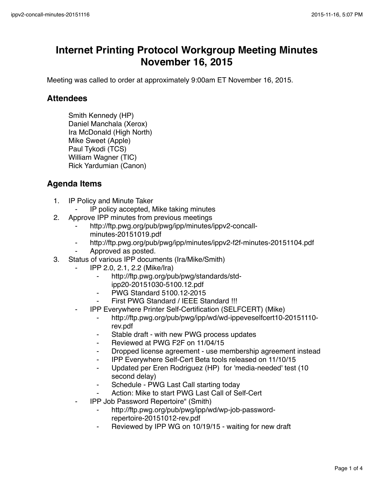## **Internet Printing Protocol Workgroup Meeting Minutes November 16, 2015**

Meeting was called to order at approximately 9:00am ET November 16, 2015.

## **Attendees**

Smith Kennedy (HP) Daniel Manchala (Xerox) Ira McDonald (High North) Mike Sweet (Apple) Paul Tykodi (TCS) William Wagner (TIC) Rick Yardumian (Canon)

## **Agenda Items**

- 1. IP Policy and Minute Taker
	- ⁃ IP policy accepted, Mike taking minutes
- 2. Approve IPP minutes from previous meetings
	- http://ftp.pwg.org/pub/pwg/ipp/minutes/ippv2-concallminutes-20151019.pdf
	- ⁃ http://ftp.pwg.org/pub/pwg/ipp/minutes/ippv2-f2f-minutes-20151104.pdf
	- Approved as posted.
- 3. Status of various IPP documents (Ira/Mike/Smith)
	- ⁃ IPP 2.0, 2.1, 2.2 (Mike/Ira)
		- http://ftp.pwg.org/pub/pwg/standards/stdipp20-20151030-5100.12.pdf
		- ⁃ PWG Standard 5100.12-2015
		- First PWG Standard / IEEE Standard !!!
	- ⁃ IPP Everywhere Printer Self-Certification (SELFCERT) (Mike)
		- ⁃ http://ftp.pwg.org/pub/pwg/ipp/wd/wd-ippeveselfcert10-20151110 rev.pdf
		- Stable draft with new PWG process updates
		- ⁃ Reviewed at PWG F2F on 11/04/15
		- ⁃ Dropped license agreement use membership agreement instead
		- ⁃ IPP Everywhere Self-Cert Beta tools released on 11/10/15
		- ⁃ Updated per Eren Rodriguez (HP) for 'media-needed' test (10 second delay)
		- Schedule PWG Last Call starting today
		- Action: Mike to start PWG Last Call of Self-Cert
	- ⁃ IPP Job Password Repertoire" (Smith)
		- http://ftp.pwg.org/pub/pwg/ipp/wd/wp-job-passwordrepertoire-20151012-rev.pdf
		- Reviewed by IPP WG on 10/19/15 waiting for new draft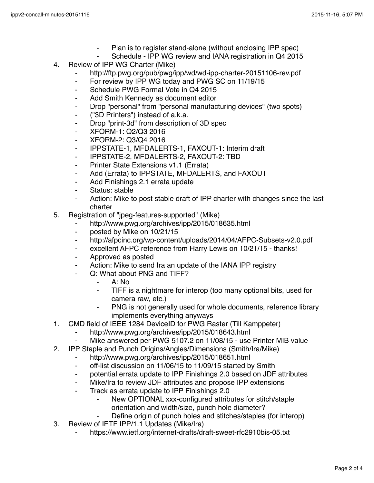- Plan is to register stand-alone (without enclosing IPP spec)
- Schedule IPP WG review and IANA registration in Q4 2015
- 4. Review of IPP WG Charter (Mike)
	- http://ftp.pwg.org/pub/pwg/ipp/wd/wd-ipp-charter-20151106-rev.pdf
	- ⁃ For review by IPP WG today and PWG SC on 11/19/15
	- ⁃ Schedule PWG Formal Vote in Q4 2015
	- Add Smith Kennedy as document editor
	- ⁃ Drop "personal" from "personal manufacturing devices" (two spots)
	- ⁃ ("3D Printers") instead of a.k.a.
	- ⁃ Drop "print-3d" from description of 3D spec
	- ⁃ XFORM-1: Q2/Q3 2016
	- ⁃ XFORM-2: Q3/Q4 2016
	- ⁃ IPPSTATE-1, MFDALERTS-1, FAXOUT-1: Interim draft
	- ⁃ IPPSTATE-2, MFDALERTS-2, FAXOUT-2: TBD
	- ⁃ Printer State Extensions v1.1 (Errata)
	- Add (Errata) to IPPSTATE, MFDALERTS, and FAXOUT
	- ⁃ Add Finishings 2.1 errata update
	- ⁃ Status: stable
	- Action: Mike to post stable draft of IPP charter with changes since the last charter
- 5. Registration of "jpeg-features-supported" (Mike)
	- http://www.pwg.org/archives/ipp/2015/018635.html
	- posted by Mike on 10/21/15
	- ⁃ http://afpcinc.org/wp-content/uploads/2014/04/AFPC-Subsets-v2.0.pdf
	- ⁃ excellent AFPC reference from Harry Lewis on 10/21/15 thanks!
	- ⁃ Approved as posted
	- Action: Mike to send Ira an update of the IANA IPP registry
	- Q: What about PNG and TIFF?
		- $A: No$
		- TIFF is a nightmare for interop (too many optional bits, used for camera raw, etc.)
		- PNG is not generally used for whole documents, reference library implements everything anyways
- 1. CMD field of IEEE 1284 DeviceID for PWG Raster (Till Kamppeter)
	- http://www.pwg.org/archives/ipp/2015/018643.html
	- Mike answered per PWG 5107.2 on 11/08/15 use Printer MIB value
- 2. IPP Staple and Punch Origins/Angles/Dimensions (Smith/Ira/Mike)
	- ⁃ http://www.pwg.org/archives/ipp/2015/018651.html
	- ⁃ off-list discussion on 11/06/15 to 11/09/15 started by Smith
	- ⁃ potential errata update to IPP Finishings 2.0 based on JDF attributes
	- ⁃ Mike/Ira to review JDF attributes and propose IPP extensions
	- ⁃ Track as errata update to IPP Finishings 2.0
		- New OPTIONAL xxx-configured attributes for stitch/staple orientation and width/size, punch hole diameter?
		- Define origin of punch holes and stitches/staples (for interop)
- 3. Review of IETF IPP/1.1 Updates (Mike/Ira)
	- https://www.ietf.org/internet-drafts/draft-sweet-rfc2910bis-05.txt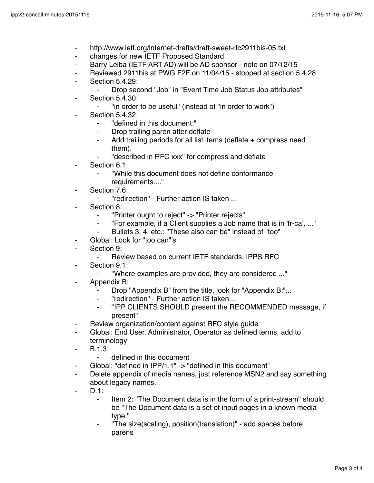- http://www.ietf.org/internet-drafts/draft-sweet-rfc2911bis-05.txt
- changes for new IETF Proposed Standard
- Barry Leiba (IETF ART AD) will be AD sponsor note on 07/12/15
- ⁃ Reviewed 2911bis at PWG F2F on 11/04/15 stopped at section 5.4.28
- **Section 5.4.29:** 
	- ⁃ Drop second "Job" in "Event Time Job Status Job attributes"
	- **Section 5.4.30:** 
		- ⁃ "in order to be useful" (instead of "in order to work")
- **Section 5.4.32:** 
	- ⁃ "defined in this document:"
	- Drop trailing paren after deflate
	- ⁃ Add trailing periods for all list items (deflate + compress need them).
	- "described in RFC xxx" for compress and deflate
- Section 6.1:
	- ⁃ "While this document does not define conformance requirements...."
- Section 7.6:
	- ⁃ "redirection" Further action IS taken ...
- Section 8:
	- ⁃ "Printer ought to reject" -> "Printer rejects"
	- ⁃ "For example, if a Client supplies a Job name that is in 'fr-ca', ..."
	- Bullets 3, 4, etc.: "These also can be" instead of "too"
- Global: Look for "too can"'s
- Section 9:
	- Review based on current IETF standards, IPPS RFC
- Section 9.1:
	- ⁃ "Where examples are provided, they are considered ..."
- Appendix B:
	- Drop "Appendix B" from the title, look for "Appendix B:"...
	- ⁃ "redirection" Further action IS taken ...
	- ⁃ "IPP CLIENTS SHOULD present the RECOMMENDED message, if present"
- Review organization/content against RFC style guide
- ⁃ Global: End User, Administrator, Operator as defined terms, add to terminology
- $-B.1.3$ :
	- defined in this document
- Global: "defined in IPP/1.1" -> "defined in this document"
- Delete appendix of media names, just reference MSN2 and say something about legacy names.
- ⁃ D.1:
	- Item 2: "The Document data is in the form of a print-stream" should be "The Document data is a set of input pages in a known media type."
	- ⁃ "The size(scaling), position(translation)" add spaces before parens